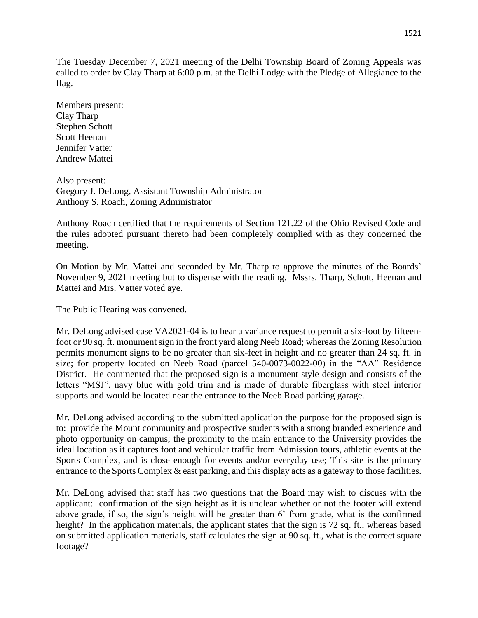The Tuesday December 7, 2021 meeting of the Delhi Township Board of Zoning Appeals was called to order by Clay Tharp at 6:00 p.m. at the Delhi Lodge with the Pledge of Allegiance to the flag.

Members present: Clay Tharp Stephen Schott Scott Heenan Jennifer Vatter Andrew Mattei

Also present: Gregory J. DeLong, Assistant Township Administrator Anthony S. Roach, Zoning Administrator

Anthony Roach certified that the requirements of Section 121.22 of the Ohio Revised Code and the rules adopted pursuant thereto had been completely complied with as they concerned the meeting.

On Motion by Mr. Mattei and seconded by Mr. Tharp to approve the minutes of the Boards' November 9, 2021 meeting but to dispense with the reading. Mssrs. Tharp, Schott, Heenan and Mattei and Mrs. Vatter voted aye.

The Public Hearing was convened.

Mr. DeLong advised case VA2021-04 is to hear a variance request to permit a six-foot by fifteenfoot or 90 sq. ft. monument sign in the front yard along Neeb Road; whereas the Zoning Resolution permits monument signs to be no greater than six-feet in height and no greater than 24 sq. ft. in size; for property located on Neeb Road (parcel 540-0073-0022-00) in the "AA" Residence District. He commented that the proposed sign is a monument style design and consists of the letters "MSJ", navy blue with gold trim and is made of durable fiberglass with steel interior supports and would be located near the entrance to the Neeb Road parking garage.

Mr. DeLong advised according to the submitted application the purpose for the proposed sign is to: provide the Mount community and prospective students with a strong branded experience and photo opportunity on campus; the proximity to the main entrance to the University provides the ideal location as it captures foot and vehicular traffic from Admission tours, athletic events at the Sports Complex, and is close enough for events and/or everyday use; This site is the primary entrance to the Sports Complex & east parking, and this display acts as a gateway to those facilities.

Mr. DeLong advised that staff has two questions that the Board may wish to discuss with the applicant: confirmation of the sign height as it is unclear whether or not the footer will extend above grade, if so, the sign's height will be greater than 6' from grade, what is the confirmed height? In the application materials, the applicant states that the sign is 72 sq. ft., whereas based on submitted application materials, staff calculates the sign at 90 sq. ft., what is the correct square footage?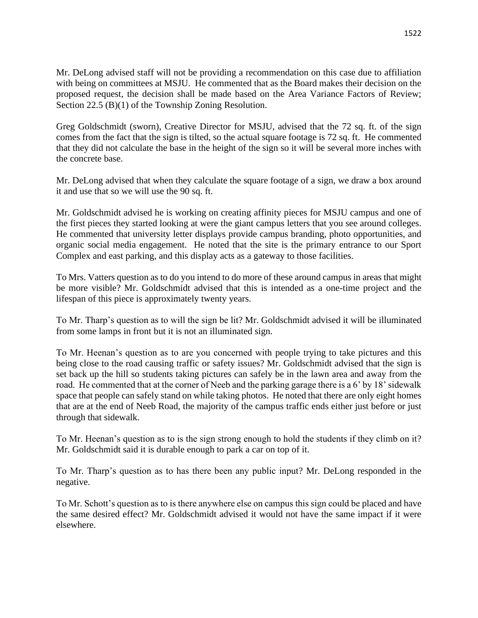Mr. DeLong advised staff will not be providing a recommendation on this case due to affiliation with being on committees at MSJU. He commented that as the Board makes their decision on the proposed request, the decision shall be made based on the Area Variance Factors of Review; Section 22.5 (B)(1) of the Township Zoning Resolution.

Greg Goldschmidt (sworn), Creative Director for MSJU, advised that the 72 sq. ft. of the sign comes from the fact that the sign is tilted, so the actual square footage is 72 sq. ft. He commented that they did not calculate the base in the height of the sign so it will be several more inches with the concrete base.

Mr. DeLong advised that when they calculate the square footage of a sign, we draw a box around it and use that so we will use the 90 sq. ft.

Mr. Goldschmidt advised he is working on creating affinity pieces for MSJU campus and one of the first pieces they started looking at were the giant campus letters that you see around colleges. He commented that university letter displays provide campus branding, photo opportunities, and organic social media engagement. He noted that the site is the primary entrance to our Sport Complex and east parking, and this display acts as a gateway to those facilities.

To Mrs. Vatters question as to do you intend to do more of these around campus in areas that might be more visible? Mr. Goldschmidt advised that this is intended as a one-time project and the lifespan of this piece is approximately twenty years.

To Mr. Tharp's question as to will the sign be lit? Mr. Goldschmidt advised it will be illuminated from some lamps in front but it is not an illuminated sign.

To Mr. Heenan's question as to are you concerned with people trying to take pictures and this being close to the road causing traffic or safety issues? Mr. Goldschmidt advised that the sign is set back up the hill so students taking pictures can safely be in the lawn area and away from the road. He commented that at the corner of Neeb and the parking garage there is a 6' by 18' sidewalk space that people can safely stand on while taking photos. He noted that there are only eight homes that are at the end of Neeb Road, the majority of the campus traffic ends either just before or just through that sidewalk.

To Mr. Heenan's question as to is the sign strong enough to hold the students if they climb on it? Mr. Goldschmidt said it is durable enough to park a car on top of it.

To Mr. Tharp's question as to has there been any public input? Mr. DeLong responded in the negative.

To Mr. Schott's question as to is there anywhere else on campus this sign could be placed and have the same desired effect? Mr. Goldschmidt advised it would not have the same impact if it were elsewhere.